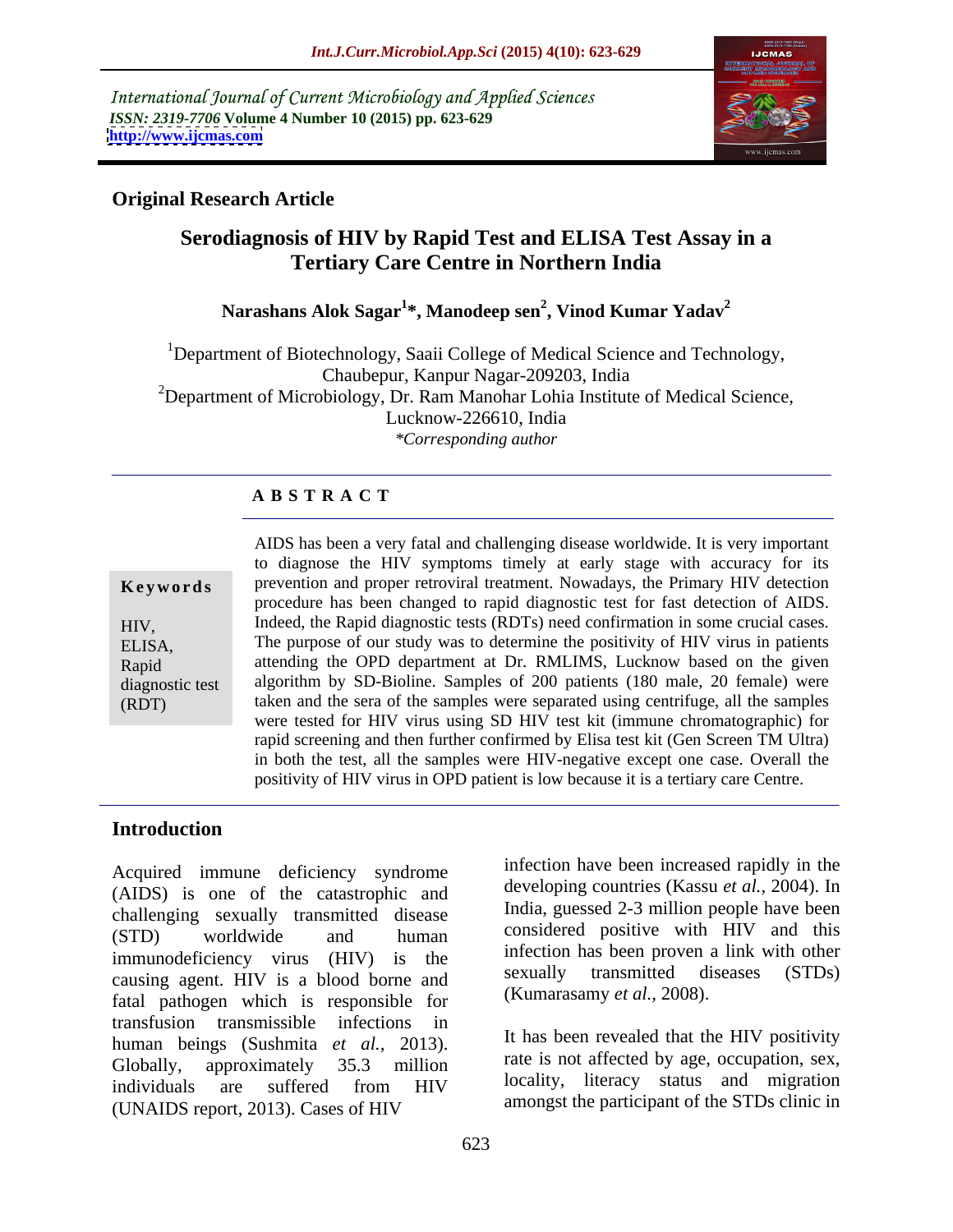International Journal of Current Microbiology and Applied Sciences *ISSN: 2319-7706* **Volume 4 Number 10 (2015) pp. 623-629 <http://www.ijcmas.com>**



# **Original Research Article**

# **Serodiagnosis of HIV by Rapid Test and ELISA Test Assay in a Tertiary Care Centre in Northern India**

### **Narashans Alok Sagar1 \*, Manodeep sen<sup>2</sup> , Vinod Kumar Yadav<sup>2</sup>**

<sup>1</sup>Department of Biotechnology, Saaii College of Medical Science and Technology, Chaubepur, Kanpur Nagar-209203, India  $2D$ epartment of Microbiology, Dr. Ram Manohar Lohia Institute of Medical Science, Lucknow-226610, India *\*Corresponding author*

### **A B S T R A C T**

| Keywords    |  |
|-------------|--|
| HIV.        |  |
| ELISA,      |  |
| $n \cdot 1$ |  |

(RDT)

AIDS has been a very fatal and challenging disease worldwide. It is very important to diagnose the HIV symptoms timely at early stage with accuracy for its **Keywords** prevention and proper retroviral treatment. Nowadays, the Primary HIV detection procedure has been changed to rapid diagnostic test for fast detection of AIDS. Indeed, the Rapid diagnostic tests (RDTs) need confirmation in some crucial cases. HIV, The purpose of our study was to determine the positivity of HIV virus in patients ELISA, attending the OPD department at Dr. RMLIMS, Lucknow based on the given Rapid algorithm by SD-Bioline. Samples of 200 patients (180 male, 20 female) were diagnostic test taken and the sera of the samples were separated using centrifuge, all the samples were tested for HIV virus using SD HIV test kit (immune chromatographic) for rapid screening and then further confirmed by Elisa test kit (Gen Screen TM Ultra) in both the test, all the samples were HIV-negative except one case. Overall the positivity of HIV virus in OPD patient is low because it is a tertiary care Centre.

## **Introduction**

Acquired immune deficiency syndrome (AIDS) is one of the catastrophic and challenging sexually transmitted disease  $(STD)$  worldwide and human considered positive with  $HIV$  and this immunodeficiency virus (HIV) is the interestion has been proven a link with other<br>cousing examples  $\frac{1}{2}$  is a blood borne and sexually transmitted diseases (STDs) causing agent. HIV is a blood borne and fatal pathogen which is responsible for transfusion transmissible infections in human beings (Sushmita *et al.,* 2013). Globally, approximately 35.3 million and tall is not allected by age, occupation, sex, individuals are suffered from HIV and interacy status and interaction (UNAIDS report, 2013). Cases of HIV

infection have been increased rapidly in the developing countries (Kassu *et al.,* 2004). In India, guessed 2-3 million people have been considered positive with HIV and this infection has been proven a link with other sexually transmitted diseases (STDs) (Kumarasamy *et al.,* 2008).

It has been revealed that the HIV positivity rate is not affected by age, occupation, sex, locality, literacy status and migration amongst the participant of the STDs clinic in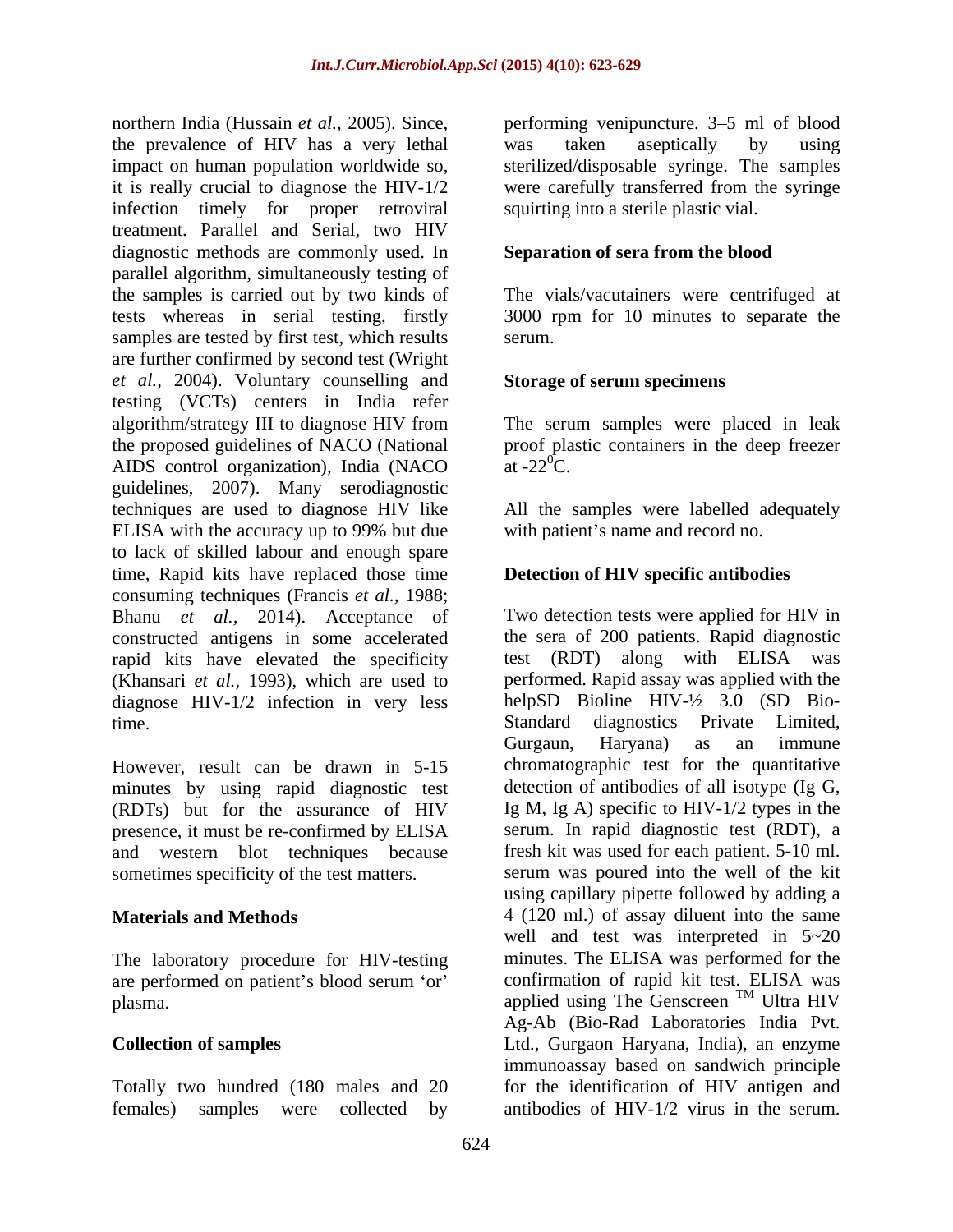northern India (Hussain *et al.*, 2005). Since, enerforming venipuncture. 3–5 ml of blood the prevalence of HIV has a very lethal impact on human population worldwide so, it is really crucial to diagnose the HIV-1/2 were carefully transferred from the syringe infection timely for proper retroviral treatment. Parallel and Serial, two HIV diagnostic methods are commonly used. In parallel algorithm, simultaneously testing of the samples is carried out by two kinds of The vials/vacutainers were centrifuged at tests whereas in serial testing, firstly 3000 rpm for 10 minutes to separate the samples are tested by first test, which results serum. are further confirmed by second test (Wright *et al.,* 2004). Voluntary counselling and testing (VCTs) centers in India refer algorithm/strategy III to diagnose HIV from The serum samples were placed in leak the proposed guidelines of NACO (National proof plastic containers in the deep freezer AIDS control organization), India (NACO at  $-22^{\circ}$ C. guidelines, 2007). Many serodiagnostic techniques are used to diagnose HIV like All the samples were labelled adequately ELISA with the accuracy up to 99% but due to lack of skilled labour and enough spare time, Rapid kits have replaced those time consuming techniques (Francis *et al.,* 1988; Bhanu *et al.,* 2014). Acceptance of constructed antigens in some accelerated rapid kits have elevated the specificity (Khansari *et al.*, 1993), which are used to diagnose HIV-1/2 infection in very less

However, result can be drawn in 5-15 minutes by using rapid diagnostic test (RDTs) but for the assurance of HIV presence, it must be re-confirmed by ELISA and western blot techniques because

The laboratory procedure for HIV-testing

females) samples were collected by antibodies of HIV-1/2 virus in the serum.

was taken aseptically by using sterilized/disposable syringe. The samples squirting into a sterile plastic vial.

# **Separation of sera from the blood**

serum.

## **Storage of serum specimens**

at  $-22^{\circ}$ C.

with patient's name and record no.

# **Detection of HIV specific antibodies**

time. Standard diagnostics Private Limited, sometimes specificity of the test matters. serum was poured into the well of the kit **Materials and Methods** 4 (120 ml.) of assay diluent into the same are performed on patient's blood serum 'or' confirmation of rapid kit test. ELISA was plasma.  $applied$  using The Genscreen<sup>IM</sup> Ultra HIV **Collection of samples** Ltd., Gurgaon Haryana, India), an enzyme Totally two hundred (180 males and 20 for the identification of HIV antigen and Two detection tests were applied for HIV in the sera of 200 patients. Rapid diagnostic test (RDT) along with ELISA was performed. Rapid assay was applied with the helpSD Bioline  $HIV- $\frac{1}{2}$  3.0 (SD Bio-$ Gurgaun, Haryana) as an immune chromatographic test for the quantitative detection of antibodies of all isotype (Ig G, Ig M, Ig A) specific to HIV-1/2 types in the serum. In rapid diagnostic test (RDT), a fresh kit was used for each patient. 5-10 ml. using capillary pipette followed by adding a well and test was interpreted in 5~20 minutes. The ELISA was performed for the confirmation of rapid kit test. ELISA was <sup>TM</sup> Ultra HIV Ag-Ab (Bio-Rad Laboratories India Pvt. immunoassay based on sandwich principle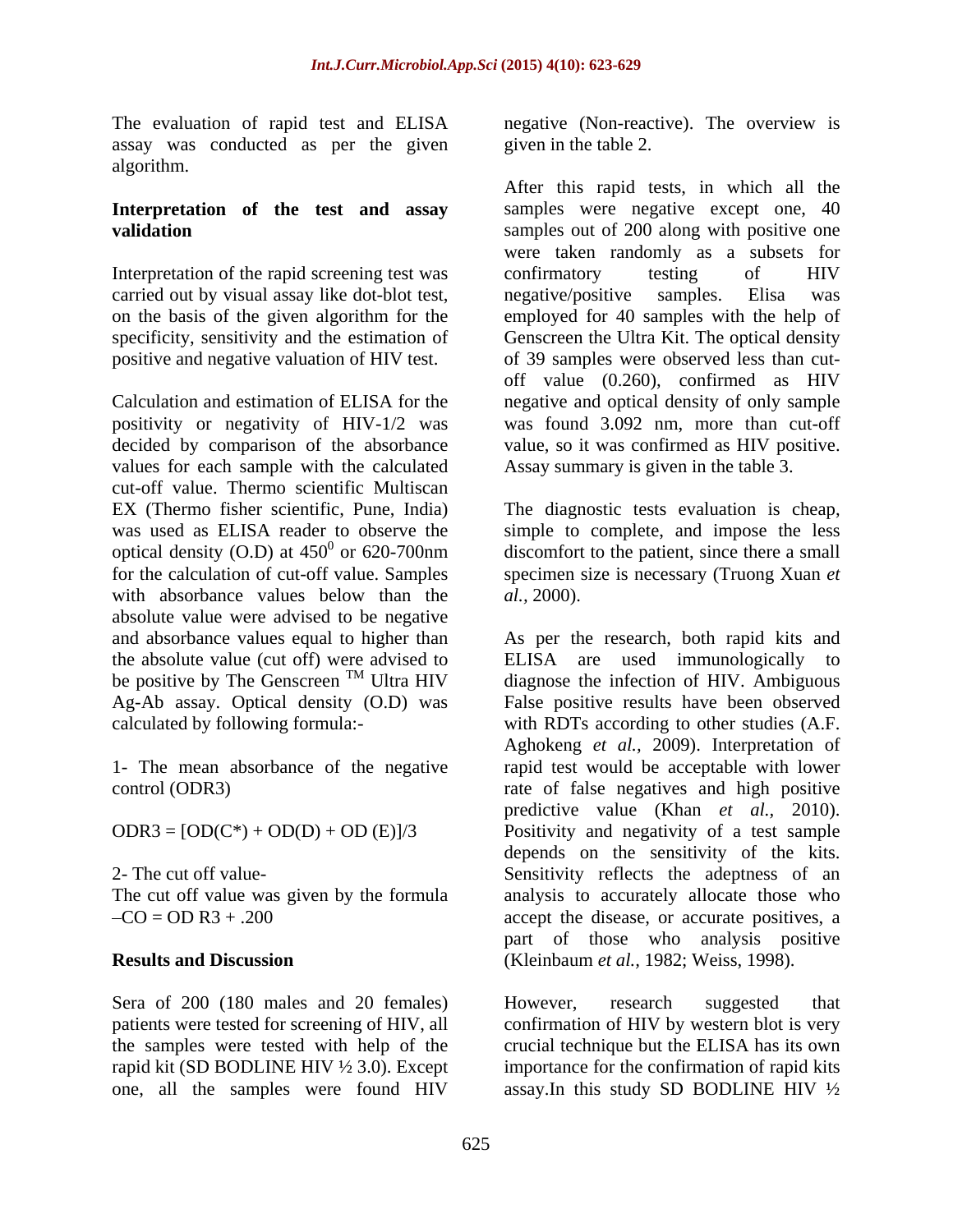assay was conducted as per the given algorithm.

Interpretation of the rapid screening test was confirmatory testing of HIV carried out by visual assay like dot-blot test, hetapene hegative/positive samples. Elisa was positive and negative valuation of HIV test.

positivity or negativity of HIV-1/2 was values for each sample with the calculated cut-off value. Thermo scientific Multiscan EX (Thermo fisher scientific, Pune, India) The diagnostic tests evaluation is cheap, was used as ELISA reader to observe the simple to complete, and impose the less optical density (O.D) at  $450^0$  or  $620-700$ nm discomfort to the patient, since there a small for the calculation of cut-off value. Samples specimen size is necessary (Truong Xuan *et*  with absorbance values below than the  $al., 2000$ . absolute value were advised to be negative be positive by The Genscreen<sup>TM</sup> Ultra HIV

1- The mean absorbance of the negative

Sera of 200 (180 males and 20 females) However, research suggested that rapid kit (SD BODLINE HIV ½ 3.0). Except one, all the samples were found HIV assay.In this study SD BODLINE HIV ½

The evaluation of rapid test and ELISA negative (Non-reactive). The overview is given in the table 2.

**Interpretation of the test and assay** samples were negative except one, 40 **validation** samples out of 200 along with positive one on the basis of the given algorithm for the employed for 40 samples with the help of specificity, sensitivity and the estimation of Genscreen the Ultra Kit. The optical density Calculation and estimation of ELISA for the negative and optical density of only sample decided by comparison of the absorbance value, so it was confirmed as HIV positive. After this rapid tests, in which all the were taken randomly as a subsets for confirmatory testing of HIV negative/positive samples. Elisa was of 39 samples were observed less than cut off value (0.260), confirmed as HIV was found  $3.092$  nm, more than cut-off Assay summary is given in the table 3.

*al.,* 2000).

and absorbance values equal to higher than As per the research, both rapid kits and the absolute value (cut off) were advised to ELISA are used immunologically to  $T<sup>M</sup>$  Ultra HIV diagnose the infection of HIV. Ambiguous Ag-Ab assay. Optical density (O.D) was False positive results have been observed calculated by following formula:- with RDTs according to other studies (A.F. control (ODR3) rate of false negatives and high positive  $ODR3 = [OD(C<sup>*</sup>) + OD(D) + OD(E)]/3$  Positivity and negativity of a test sample 2- The cut off value- Sensitivity reflects the adeptness of an The cut off value was given by the formula analysis to accurately allocate those who  $CO = OD R3 + .200$  accept the disease, or accurate positives, a **Results and Discussion** (Kleinbaum *et al.,* 1982; Weiss, 1998). diagnose the infection of HIV. Ambiguous Aghokeng *et al.,* 2009). Interpretation of rapid test would be acceptable with lower predictive value (Khan *et al.,* 2010). depends on the sensitivity of the kits. part of those who analysis positive

patients were tested for screening of HIV, all confirmation of HIV by western blot is very the samples were tested with help of the crucial technique but the ELISA has its own However, research suggested that importance for the confirmation of rapid kits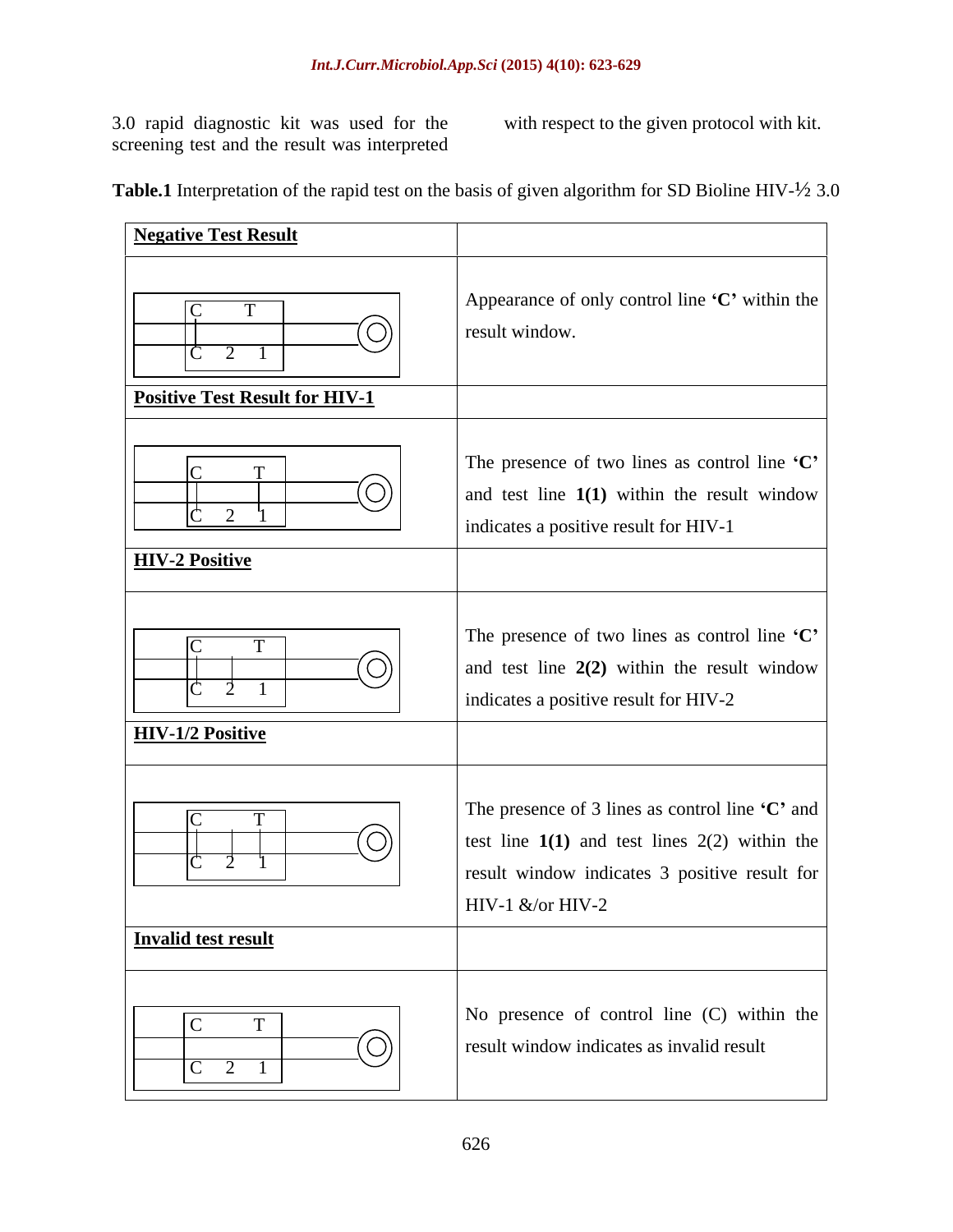3.0 rapid diagnostic kit was used for the screening test and the result was interpreted

with respect to the given protocol with kit.

**Table.1** Interpretation of the rapid test on the basis of given algorithm for SD Bioline HIV-½ 3.0

| <b>Negative Test Result</b>                                                                                 |                                                                                                                                         |
|-------------------------------------------------------------------------------------------------------------|-----------------------------------------------------------------------------------------------------------------------------------------|
| (O)                                                                                                         | Appearance of only control line 'C' within the<br>result window.                                                                        |
| <b>Positive Test Result for HIV-1</b><br>$\overline{\textcircled{\circ}}$<br>$\sqrt{2}$                     | The presence of two lines as control line 'C'<br>and test line $1(1)$ within the result window<br>indicates a positive result for HIV-1 |
| <b>HIV-2 Positive</b>                                                                                       |                                                                                                                                         |
| $\overline{(\bigcirc)}$<br>_____<br>$\overline{C}$ $\overline{2}$ $\overline{1}$<br><b>HIV-1/2 Positive</b> | The presence of two lines as control line 'C'<br>and test line $2(2)$ within the result window<br>indicates a positive result for HIV-2 |
| <u>(</u> O)                                                                                                 | The presence of 3 lines as control line 'C' and<br>test line $1(1)$ and test lines 2(2) within the                                      |
| Invalid test result                                                                                         | result window indicates 3 positive result for<br>$HIV-1$ &/or HIV-2                                                                     |
| $\mathbf{T}$<br>$\overline{1}\bigodot$<br>$\frac{C}{2}$ 1                                                   | No presence of control line $(C)$ within the<br>result window indicates as invalid result                                               |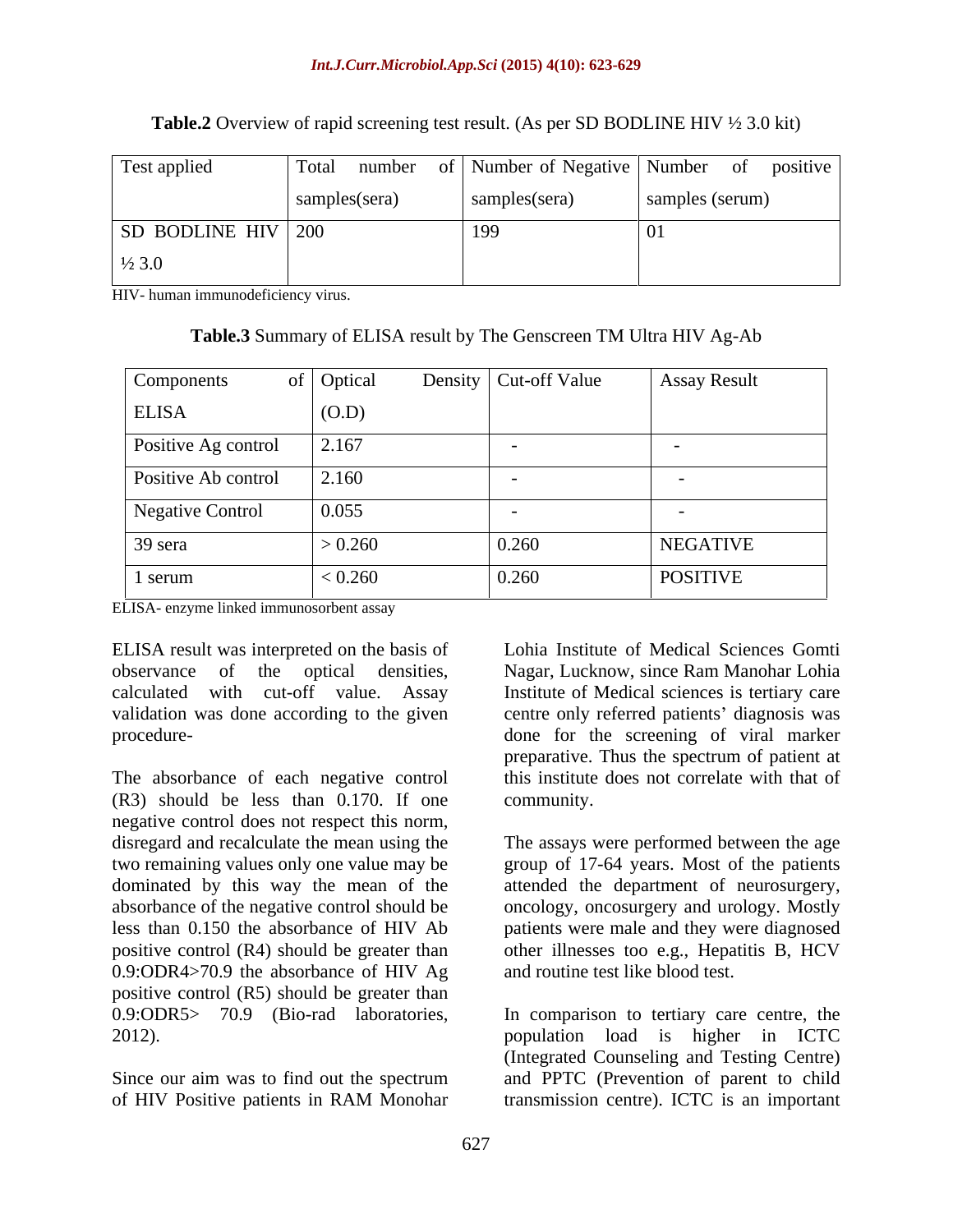| Test applied         |               |               | Total number of Number of Negative Number of positive |
|----------------------|---------------|---------------|-------------------------------------------------------|
|                      | samples(sera) | samples(sera) | samples (serum)                                       |
| SD BODLINE HIV   200 |               | -199          |                                                       |
| $\frac{1}{2}$ 3.0    |               |               |                                                       |

### **Table.2** Overview of rapid screening test result. (As per SD BODLINE HIV ½ 3.0 kit)

HIV- human immunodeficiency virus.

| <b>Table.3</b> Summary of ELISA result by The Genscreen TM Ultra HIV Ag-Ab |  |  |
|----------------------------------------------------------------------------|--|--|
|                                                                            |  |  |

| Components          | of Optical | Density   Cut-off Value | <b>Assay Result</b> |
|---------------------|------------|-------------------------|---------------------|
| <b>ELISA</b>        | (O.D)      |                         |                     |
| Positive Ag control | 2.167      |                         |                     |
| Positive Ab control | 2.160      |                         |                     |
| Negative Control    | 0.055      |                         |                     |
| 39 sera             | > 0.260    | 0.260                   | <b>NEGATIVE</b>     |
| 1 serum             | < 0.260    | 0.260                   | <b>POSITIVE</b>     |

ELISA- enzyme linked immunosorbent assay

ELISA result was interpreted on the basis of observance of the optical densities, Nagar, Lucknow, since Ram Manohar Lohia calculated with cut-off value. Assay Institute of Medical sciences is tertiary care validation was done according to the given centre only referred patients' diagnosis was

The absorbance of each negative control (R3) should be less than 0.170. If one negative control does not respect this norm,<br>disregard and recalculate the mean using the The assays were performed between the age two remaining values only one value may be group of 17-64 years. Most of the patients dominated by this way the mean of the attended the department of neurosurgery, absorbance of the negative control should be oncology, oncosurgery and urology. Mostly less than 0.150 the absorbance of HIV Ab patients were male and they were diagnosed positive control (R4) should be greater than other illnesses too e.g., Hepatitis B, HCV 0.9:ODR4>70.9 the absorbance of HIV Ag positive control (R5) should be greater than 0.9:ODR5> 70.9 (Bio-rad laboratories, In comparison to tertiary care centre, the

of HIV Positive patients in RAM Monohar

procedure- done for the screening of viral marker Lohia Institute of Medical Sciences Gomti preparative. Thus the spectrum of patient at this institute does not correlate with that of community.

> The assays were performed between the age and routine test like blood test.

2012). population load is higher in ICTC Since our aim was to find out the spectrum and PPTC (Prevention of parent to child (Integrated Counseling and Testing Centre) transmission centre). ICTC is an important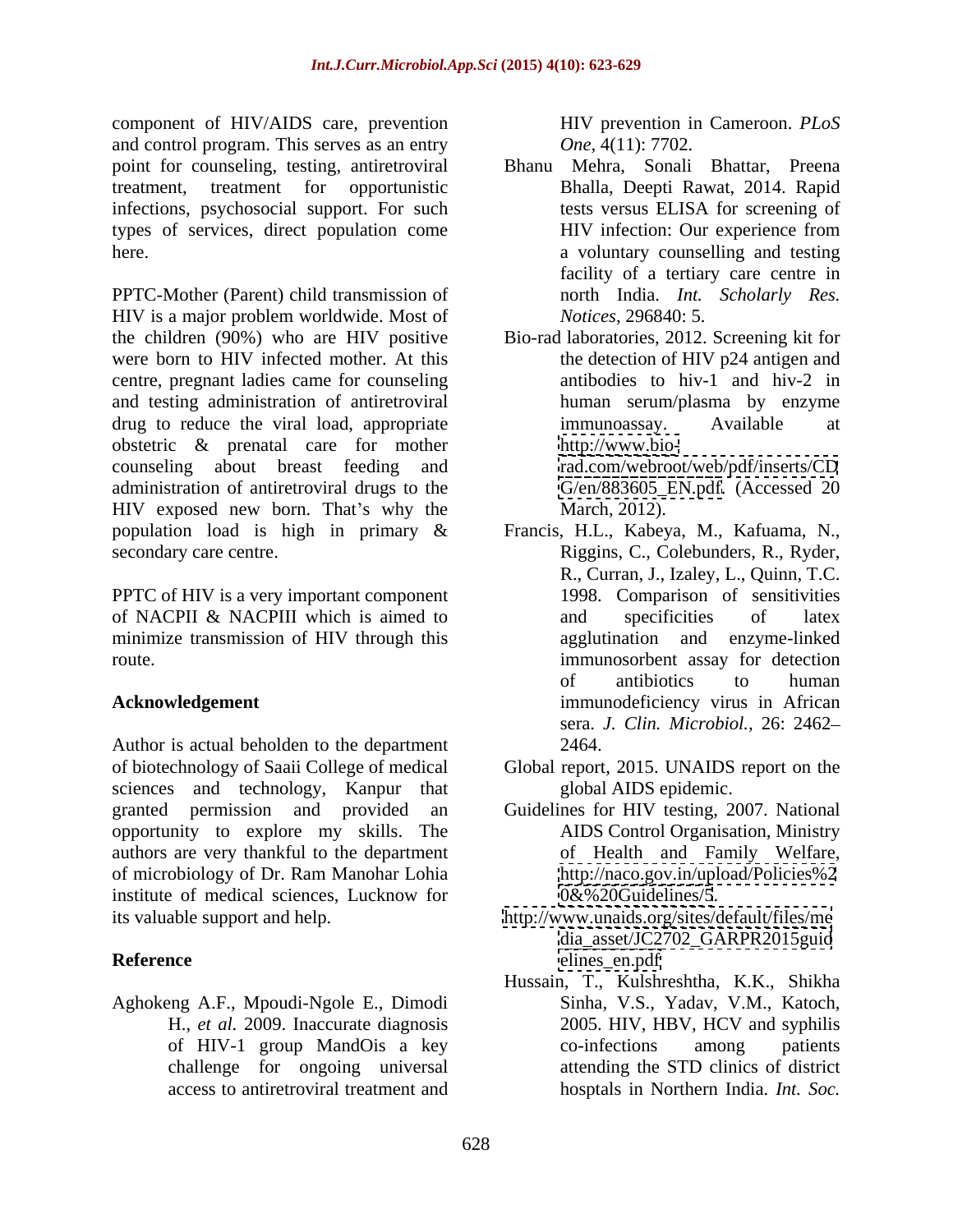component of HIV/AIDS care, prevention and control program. This serves as an entry infections, psychosocial support. For such tests versus ELISA for screening of types of services, direct population come

PPTC-Mother (Parent) child transmission of HIV is a major problem worldwide. Most of the children (90%) who are HIV positive Bio-rad laboratories, 2012. Screening kit for were born to HIV infected mother. At this centre, pregnant ladies came for counseling and testing administration of antiretroviral drug to reduce the viral load, appropriate immunoassay. Available at obstetric & prenatal care for mother counseling about breast feeding and administration of antiretroviral drugs to the HIV exposed new born. That's why the March, 2012). population load is high in primary & Francis, H.L., Kabeya, M., Kafuama, N., secondary care centre. Riggins, C., Colebunders, R., Ryder,

PPTC of HIV is a very important component of NACPII & NACPIII which is aimed to and specificities of latex minimize transmission of HIV through this

Author is actual beholden to the department 2464. of biotechnology of Saaii College of medical Global report, 2015. UNAIDS report on the sciences and technology, Kanpur that granted permission and provided an opportunity to explore my skills. The authors are very thankful to the department of microbiology of Dr. Ram Manohar Lohia institute of medical sciences, Lucknow for its valuable support and help. <http://www.unaids.org/sites/default/files/me>

Aghokeng A.F., Mpoudi-Ngole E., Dimodi

HIV prevention in Cameroon. *PLoS One,* 4(11): 7702.

- point for counseling, testing, antiretroviral Bhanu Mehra, Sonali Bhattar, Preena treatment, treatment for opportunistic Bhalla, Deepti Rawat, 2014. Rapid here. a voluntary counselling and testing tests versus ELISA for screening of HIV infection: Our experience from facility of a tertiary care centre in north India. *Int. Scholarly Res. Notices,* 296840: 5.
	- the detection of HIV p24 antigen and antibodies to hiv-1 and hiv-2 in human serum/plasma by enzyme immunoassay. Available at [http://www.bio](http://www.bio-)<rad.com/webroot/web/pdf/inserts/CD> [G/en/883605\\_EN.pdf.](G/en/883605_EN.pdf) (Accessed 20 March, 2012).
- route. immunosorbent assay for detection Acknowledgement **immunodeficiency** virus in African R., Curran, J., Izaley, L., Quinn, T.C. 1998. Comparison of sensitivities and specificities of latex agglutination and enzyme-linked of antibiotics to human sera. *J. Clin. Microbiol.,* 26: 2462 2464.
	- global AIDS epidemic.
	- Guidelines for HIV testing, 2007. National AIDS Control Organisation, Ministry of Health and Family Welfare, <http://naco.gov.in/upload/Policies%2> <0&%20Guidelines/5>.
- **Reference** [dia\\_asset/JC2702\\_GARPR2015guid](dia_asset/JC2702_GARPR2015guid) [elines\\_en.pdf](elines_en.pdf)
	- H., *et al.* 2009. Inaccurate diagnosis 2005. HIV, HBV, HCV and syphilis of HIV-1 group MandOis a key challenge for ongoing universal attending the STD clinics of district access to antiretroviral treatment and hosptals in Northern India. *Int. Soc.*Hussain, T., Kulshreshtha, K.K., Shikha Sinha, V.S., Yadav, V.M., Katoch, co-infections among patients attending the STD clinics of district